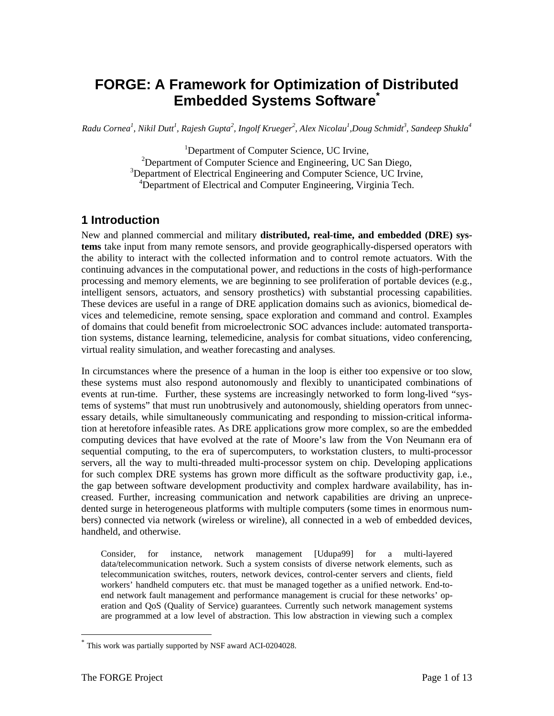# **FORGE: A Framework for Optimization of Distributed Embedded Systems Software\***

*Radu Cornea 1 , Nikil Dutt<sup>1</sup> , Rajesh Gupta<sup>2</sup> , Ingolf Krueger<sup>2</sup> , Alex Nicolau<sup>1</sup> ,Doug Schmidt<sup>3</sup> , Sandeep Shukla<sup>4</sup>*

<sup>1</sup>Department of Computer Science, UC Irvine,  $2$ Department of Computer Science and Engineering, UC San Diego, <sup>3</sup>Department of Electrical Engineering and Computer Science, UC Irvine, <sup>4</sup>Department of Electrical and Computer Engineering, Virginia Tech.

## **1 Introduction**

New and planned commercial and military **distributed, real-time, and embedded (DRE) systems** take input from many remote sensors, and provide geographically-dispersed operators with the ability to interact with the collected information and to control remote actuators. With the continuing advances in the computational power, and reductions in the costs of high-performance processing and memory elements, we are beginning to see proliferation of portable devices (e.g., intelligent sensors, actuators, and sensory prosthetics) with substantial processing capabilities. These devices are useful in a range of DRE application domains such as avionics, biomedical devices and telemedicine, remote sensing, space exploration and command and control. Examples of domains that could benefit from microelectronic SOC advances include: automated transportation systems, distance learning, telemedicine, analysis for combat situations, video conferencing, virtual reality simulation, and weather forecasting and analyses.

In circumstances where the presence of a human in the loop is either too expensive or too slow, these systems must also respond autonomously and flexibly to unanticipated combinations of events at run-time. Further, these systems are increasingly networked to form long-lived "systems of systems" that must run unobtrusively and autonomously, shielding operators from unnecessary details, while simultaneously communicating and responding to mission-critical information at heretofore infeasible rates. As DRE applications grow more complex, so are the embedded computing devices that have evolved at the rate of Moore's law from the Von Neumann era of sequential computing, to the era of supercomputers, to workstation clusters, to multi-processor servers, all the way to multi-threaded multi-processor system on chip. Developing applications for such complex DRE systems has grown more difficult as the software productivity gap, i.e., the gap between software development productivity and complex hardware availability, has increased. Further, increasing communication and network capabilities are driving an unprecedented surge in heterogeneous platforms with multiple computers (some times in enormous numbers) connected via network (wireless or wireline), all connected in a web of embedded devices, handheld, and otherwise.

Consider, for instance, network management [Udupa99] for a multi-layered data/telecommunication network. Such a system consists of diverse network elements, such as telecommunication switches, routers, network devices, control-center servers and clients, field workers' handheld computers etc. that must be managed together as a unified network. End-toend network fault management and performance management is crucial for these networks' operation and QoS (Quality of Service) guarantees. Currently such network management systems are programmed at a low level of abstraction. This low abstraction in viewing such a complex

1

<sup>\*</sup> This work was partially supported by NSF award ACI-0204028.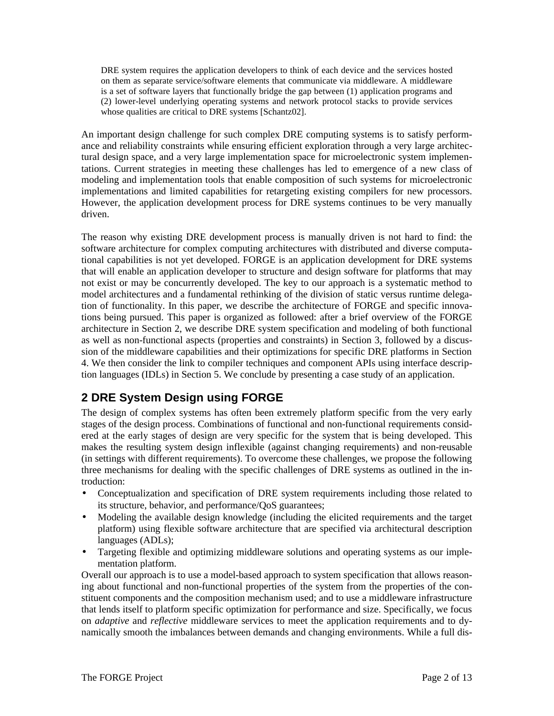DRE system requires the application developers to think of each device and the services hosted on them as separate service/software elements that communicate via middleware. A middleware is a set of software layers that functionally bridge the gap between (1) application programs and (2) lower-level underlying operating systems and network protocol stacks to provide services whose qualities are critical to DRE systems [Schantz02].

An important design challenge for such complex DRE computing systems is to satisfy performance and reliability constraints while ensuring efficient exploration through a very large architectural design space, and a very large implementation space for microelectronic system implementations. Current strategies in meeting these challenges has led to emergence of a new class of modeling and implementation tools that enable composition of such systems for microelectronic implementations and limited capabilities for retargeting existing compilers for new processors. However, the application development process for DRE systems continues to be very manually driven.

The reason why existing DRE development process is manually driven is not hard to find: the software architecture for complex computing architectures with distributed and diverse computational capabilities is not yet developed. FORGE is an application development for DRE systems that will enable an application developer to structure and design software for platforms that may not exist or may be concurrently developed. The key to our approach is a systematic method to model architectures and a fundamental rethinking of the division of static versus runtime delegation of functionality. In this paper, we describe the architecture of FORGE and specific innovations being pursued. This paper is organized as followed: after a brief overview of the FORGE architecture in Section 2, we describe DRE system specification and modeling of both functional as well as non-functional aspects (properties and constraints) in Section 3, followed by a discussion of the middleware capabilities and their optimizations for specific DRE platforms in Section 4. We then consider the link to compiler techniques and component APIs using interface description languages (IDLs) in Section 5. We conclude by presenting a case study of an application.

# **2 DRE System Design using FORGE**

The design of complex systems has often been extremely platform specific from the very early stages of the design process. Combinations of functional and non-functional requirements considered at the early stages of design are very specific for the system that is being developed. This makes the resulting system design inflexible (against changing requirements) and non-reusable (in settings with different requirements). To overcome these challenges, we propose the following three mechanisms for dealing with the specific challenges of DRE systems as outlined in the introduction:

- Conceptualization and specification of DRE system requirements including those related to its structure, behavior, and performance/QoS guarantees;
- Modeling the available design knowledge (including the elicited requirements and the target platform) using flexible software architecture that are specified via architectural description languages (ADLs);
- Targeting flexible and optimizing middleware solutions and operating systems as our implementation platform.

Overall our approach is to use a model-based approach to system specification that allows reasoning about functional and non-functional properties of the system from the properties of the constituent components and the composition mechanism used; and to use a middleware infrastructure that lends itself to platform specific optimization for performance and size. Specifically, we focus on *adaptive* and *reflective* middleware services to meet the application requirements and to dynamically smooth the imbalances between demands and changing environments. While a full dis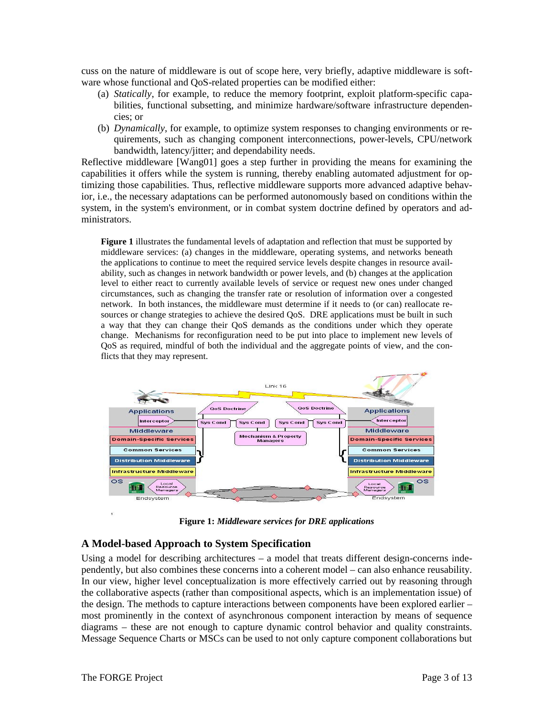cuss on the nature of middleware is out of scope here, very briefly, adaptive middleware is software whose functional and QoS-related properties can be modified either:

- (a) *Statically*, for example, to reduce the memory footprint, exploit platform-specific capabilities, functional subsetting, and minimize hardware/software infrastructure dependencies; or
- (b) *Dynamically*, for example, to optimize system responses to changing environments or requirements, such as changing component interconnections, power-levels, CPU/network bandwidth, latency/jitter; and dependability needs.

Reflective middleware [Wang01] goes a step further in providing the means for examining the capabilities it offers while the system is running, thereby enabling automated adjustment for optimizing those capabilities. Thus, reflective middleware supports more advanced adaptive behavior, i.e., the necessary adaptations can be performed autonomously based on conditions within the system, in the system's environment, or in combat system doctrine defined by operators and administrators.

**Figure 1** illustrates the fundamental levels of adaptation and reflection that must be supported by middleware services: (a) changes in the middleware, operating systems, and networks beneath the applications to continue to meet the required service levels despite changes in resource availability, such as changes in network bandwidth or power levels, and (b) changes at the application level to either react to currently available levels of service or request new ones under changed circumstances, such as changing the transfer rate or resolution of information over a congested network. In both instances, the middleware must determine if it needs to (or can) reallocate resources or change strategies to achieve the desired QoS. DRE applications must be built in such a way that they can change their QoS demands as the conditions under which they operate change. Mechanisms for reconfiguration need to be put into place to implement new levels of QoS as required, mindful of both the individual and the aggregate points of view, and the conflicts that they may represent.



**Figure 1:** *Middleware services for DRE applications*

#### **A Model-based Approach to System Specification**

Using a model for describing architectures – a model that treats different design-concerns independently, but also combines these concerns into a coherent model – can also enhance reusability. In our view, higher level conceptualization is more effectively carried out by reasoning through the collaborative aspects (rather than compositional aspects, which is an implementation issue) of the design. The methods to capture interactions between components have been explored earlier – most prominently in the context of asynchronous component interaction by means of sequence diagrams – these are not enough to capture dynamic control behavior and quality constraints. Message Sequence Charts or MSCs can be used to not only capture component collaborations but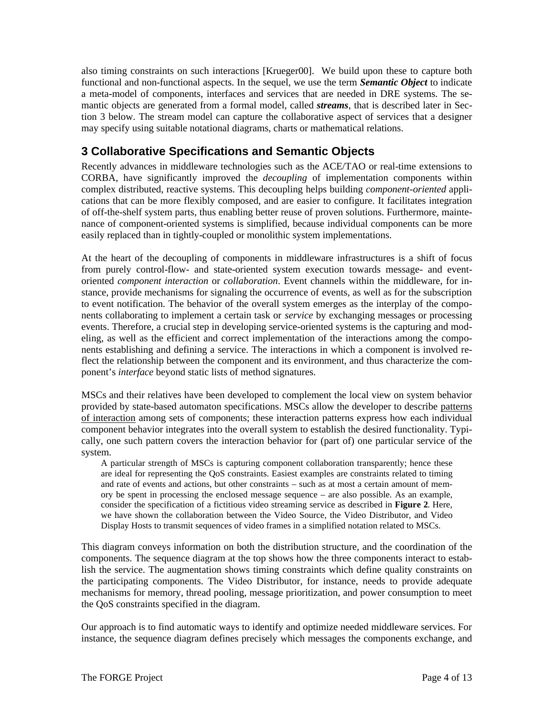also timing constraints on such interactions [Krueger00]. We build upon these to capture both functional and non-functional aspects. In the sequel, we use the term *Semantic Object* to indicate a meta-model of components, interfaces and services that are needed in DRE systems. The semantic objects are generated from a formal model, called *streams*, that is described later in Section 3 below. The stream model can capture the collaborative aspect of services that a designer may specify using suitable notational diagrams, charts or mathematical relations.

## **3 Collaborative Specifications and Semantic Objects**

Recently advances in middleware technologies such as the ACE/TAO or real-time extensions to CORBA, have significantly improved the *decoupling* of implementation components within complex distributed, reactive systems. This decoupling helps building *component-oriented* applications that can be more flexibly composed, and are easier to configure. It facilitates integration of off-the-shelf system parts, thus enabling better reuse of proven solutions. Furthermore, maintenance of component-oriented systems is simplified, because individual components can be more easily replaced than in tightly-coupled or monolithic system implementations.

At the heart of the decoupling of components in middleware infrastructures is a shift of focus from purely control-flow- and state-oriented system execution towards message- and eventoriented *component interaction* or *collaboration*. Event channels within the middleware, for instance, provide mechanisms for signaling the occurrence of events, as well as for the subscription to event notification. The behavior of the overall system emerges as the interplay of the components collaborating to implement a certain task or *service* by exchanging messages or processing events. Therefore, a crucial step in developing service-oriented systems is the capturing and modeling, as well as the efficient and correct implementation of the interactions among the components establishing and defining a service. The interactions in which a component is involved reflect the relationship between the component and its environment, and thus characterize the component's *interface* beyond static lists of method signatures.

MSCs and their relatives have been developed to complement the local view on system behavior provided by state-based automaton specifications. MSCs allow the developer to describe patterns of interaction among sets of components; these interaction patterns express how each individual component behavior integrates into the overall system to establish the desired functionality. Typically, one such pattern covers the interaction behavior for (part of) one particular service of the system.

A particular strength of MSCs is capturing component collaboration transparently; hence these are ideal for representing the QoS constraints. Easiest examples are constraints related to timing and rate of events and actions, but other constraints – such as at most a certain amount of memory be spent in processing the enclosed message sequence – are also possible. As an example, consider the specification of a fictitious video streaming service as described in **Figure 2**. Here, we have shown the collaboration between the Video Source, the Video Distributor, and Video Display Hosts to transmit sequences of video frames in a simplified notation related to MSCs.

This diagram conveys information on both the distribution structure, and the coordination of the components. The sequence diagram at the top shows how the three components interact to establish the service. The augmentation shows timing constraints which define quality constraints on the participating components. The Video Distributor, for instance, needs to provide adequate mechanisms for memory, thread pooling, message prioritization, and power consumption to meet the QoS constraints specified in the diagram.

Our approach is to find automatic ways to identify and optimize needed middleware services. For instance, the sequence diagram defines precisely which messages the components exchange, and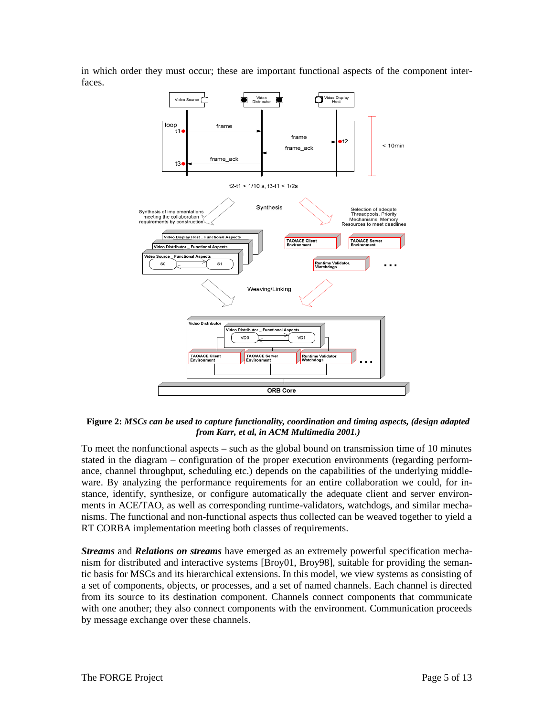in which order they must occur; these are important functional aspects of the component interfaces.



**Figure 2:** *MSCs can be used to capture functionality, coordination and timing aspects, (design adapted from Karr, et al, in ACM Multimedia 2001.)*

To meet the nonfunctional aspects – such as the global bound on transmission time of 10 minutes stated in the diagram – configuration of the proper execution environments (regarding performance, channel throughput, scheduling etc.) depends on the capabilities of the underlying middleware. By analyzing the performance requirements for an entire collaboration we could, for instance, identify, synthesize, or configure automatically the adequate client and server environments in ACE/TAO, as well as corresponding runtime-validators, watchdogs, and similar mechanisms. The functional and non-functional aspects thus collected can be weaved together to yield a RT CORBA implementation meeting both classes of requirements.

*Streams* and *Relations on streams* have emerged as an extremely powerful specification mechanism for distributed and interactive systems [Broy01, Broy98], suitable for providing the semantic basis for MSCs and its hierarchical extensions. In this model, we view systems as consisting of a set of components, objects, or processes, and a set of named channels. Each channel is directed from its source to its destination component. Channels connect components that communicate with one another; they also connect components with the environment. Communication proceeds by message exchange over these channels.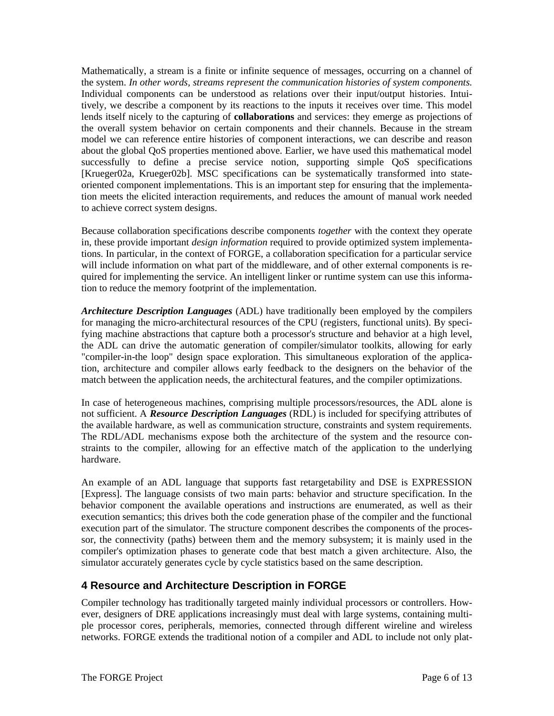Mathematically, a stream is a finite or infinite sequence of messages, occurring on a channel of the system. *In other words, streams represent the communication histories of system components.* Individual components can be understood as relations over their input/output histories. Intuitively, we describe a component by its reactions to the inputs it receives over time. This model lends itself nicely to the capturing of **collaborations** and services: they emerge as projections of the overall system behavior on certain components and their channels. Because in the stream model we can reference entire histories of component interactions, we can describe and reason about the global QoS properties mentioned above. Earlier, we have used this mathematical model successfully to define a precise service notion, supporting simple QoS specifications [Krueger02a, Krueger02b]. MSC specifications can be systematically transformed into stateoriented component implementations. This is an important step for ensuring that the implementation meets the elicited interaction requirements, and reduces the amount of manual work needed to achieve correct system designs.

Because collaboration specifications describe components *together* with the context they operate in, these provide important *design information* required to provide optimized system implementations. In particular, in the context of FORGE, a collaboration specification for a particular service will include information on what part of the middleware, and of other external components is required for implementing the service. An intelligent linker or runtime system can use this information to reduce the memory footprint of the implementation.

*Architecture Description Languages* (ADL) have traditionally been employed by the compilers for managing the micro-architectural resources of the CPU (registers, functional units). By specifying machine abstractions that capture both a processor's structure and behavior at a high level, the ADL can drive the automatic generation of compiler/simulator toolkits, allowing for early "compiler-in-the loop" design space exploration. This simultaneous exploration of the application, architecture and compiler allows early feedback to the designers on the behavior of the match between the application needs, the architectural features, and the compiler optimizations.

In case of heterogeneous machines, comprising multiple processors/resources, the ADL alone is not sufficient. A *Resource Description Languages* (RDL) is included for specifying attributes of the available hardware, as well as communication structure, constraints and system requirements. The RDL/ADL mechanisms expose both the architecture of the system and the resource constraints to the compiler, allowing for an effective match of the application to the underlying hardware.

An example of an ADL language that supports fast retargetability and DSE is EXPRESSION [Express]. The language consists of two main parts: behavior and structure specification. In the behavior component the available operations and instructions are enumerated, as well as their execution semantics; this drives both the code generation phase of the compiler and the functional execution part of the simulator. The structure component describes the components of the processor, the connectivity (paths) between them and the memory subsystem; it is mainly used in the compiler's optimization phases to generate code that best match a given architecture. Also, the simulator accurately generates cycle by cycle statistics based on the same description.

### **4 Resource and Architecture Description in FORGE**

Compiler technology has traditionally targeted mainly individual processors or controllers. However, designers of DRE applications increasingly must deal with large systems, containing multiple processor cores, peripherals, memories, connected through different wireline and wireless networks. FORGE extends the traditional notion of a compiler and ADL to include not only plat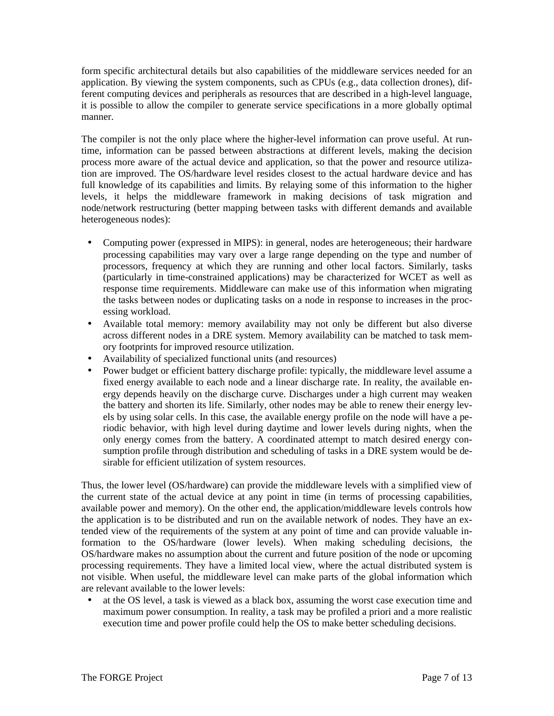form specific architectural details but also capabilities of the middleware services needed for an application. By viewing the system components, such as CPUs (e.g., data collection drones), different computing devices and peripherals as resources that are described in a high-level language, it is possible to allow the compiler to generate service specifications in a more globally optimal manner.

The compiler is not the only place where the higher-level information can prove useful. At runtime, information can be passed between abstractions at different levels, making the decision process more aware of the actual device and application, so that the power and resource utilization are improved. The OS/hardware level resides closest to the actual hardware device and has full knowledge of its capabilities and limits. By relaying some of this information to the higher levels, it helps the middleware framework in making decisions of task migration and node/network restructuring (better mapping between tasks with different demands and available heterogeneous nodes):

- Computing power (expressed in MIPS): in general, nodes are heterogeneous; their hardware processing capabilities may vary over a large range depending on the type and number of processors, frequency at which they are running and other local factors. Similarly, tasks (particularly in time-constrained applications) may be characterized for WCET as well as response time requirements. Middleware can make use of this information when migrating the tasks between nodes or duplicating tasks on a node in response to increases in the processing workload.
- Available total memory: memory availability may not only be different but also diverse across different nodes in a DRE system. Memory availability can be matched to task memory footprints for improved resource utilization.
- Availability of specialized functional units (and resources)
- Power budget or efficient battery discharge profile: typically, the middleware level assume a fixed energy available to each node and a linear discharge rate. In reality, the available energy depends heavily on the discharge curve. Discharges under a high current may weaken the battery and shorten its life. Similarly, other nodes may be able to renew their energy levels by using solar cells. In this case, the available energy profile on the node will have a periodic behavior, with high level during daytime and lower levels during nights, when the only energy comes from the battery. A coordinated attempt to match desired energy consumption profile through distribution and scheduling of tasks in a DRE system would be desirable for efficient utilization of system resources.

Thus, the lower level (OS/hardware) can provide the middleware levels with a simplified view of the current state of the actual device at any point in time (in terms of processing capabilities, available power and memory). On the other end, the application/middleware levels controls how the application is to be distributed and run on the available network of nodes. They have an extended view of the requirements of the system at any point of time and can provide valuable information to the OS/hardware (lower levels). When making scheduling decisions, the OS/hardware makes no assumption about the current and future position of the node or upcoming processing requirements. They have a limited local view, where the actual distributed system is not visible. When useful, the middleware level can make parts of the global information which are relevant available to the lower levels:

• at the OS level, a task is viewed as a black box, assuming the worst case execution time and maximum power consumption. In reality, a task may be profiled a priori and a more realistic execution time and power profile could help the OS to make better scheduling decisions.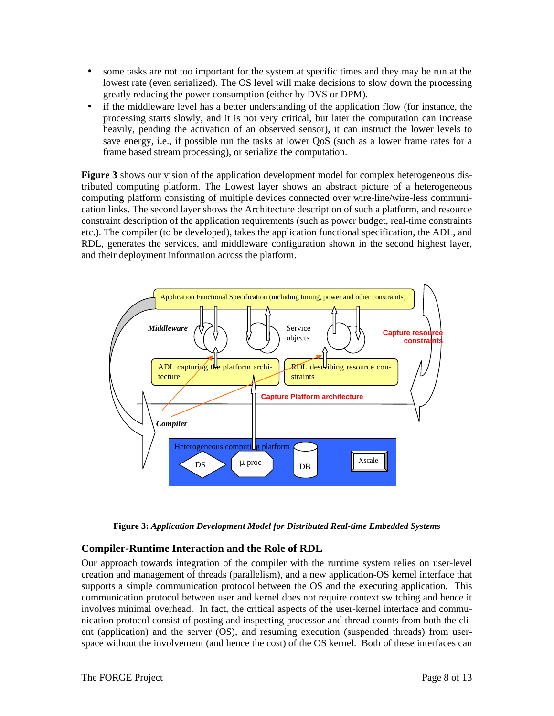- some tasks are not too important for the system at specific times and they may be run at the lowest rate (even serialized). The OS level will make decisions to slow down the processing greatly reducing the power consumption (either by DVS or DPM).
- if the middleware level has a better understanding of the application flow (for instance, the processing starts slowly, and it is not very critical, but later the computation can increase heavily, pending the activation of an observed sensor), it can instruct the lower levels to save energy, i.e., if possible run the tasks at lower QoS (such as a lower frame rates for a frame based stream processing), or serialize the computation.

**Figure 3** shows our vision of the application development model for complex heterogeneous distributed computing platform. The Lowest layer shows an abstract picture of a heterogeneous computing platform consisting of multiple devices connected over wire-line/wire-less communication links. The second layer shows the Architecture description of such a platform, and resource constraint description of the application requirements (such as power budget, real-time constraints etc.). The compiler (to be developed), takes the application functional specification, the ADL, and RDL, generates the services, and middleware configuration shown in the second highest layer, and their deployment information across the platform.



**Figure 3:** *Application Development Model for Distributed Real-time Embedded Systems*

#### **Compiler-Runtime Interaction and the Role of RDL**

Our approach towards integration of the compiler with the runtime system relies on user-level creation and management of threads (parallelism), and a new application-OS kernel interface that supports a simple communication protocol between the OS and the executing application. This communication protocol between user and kernel does not require context switching and hence it involves minimal overhead. In fact, the critical aspects of the user-kernel interface and communication protocol consist of posting and inspecting processor and thread counts from both the client (application) and the server (OS), and resuming execution (suspended threads) from userspace without the involvement (and hence the cost) of the OS kernel. Both of these interfaces can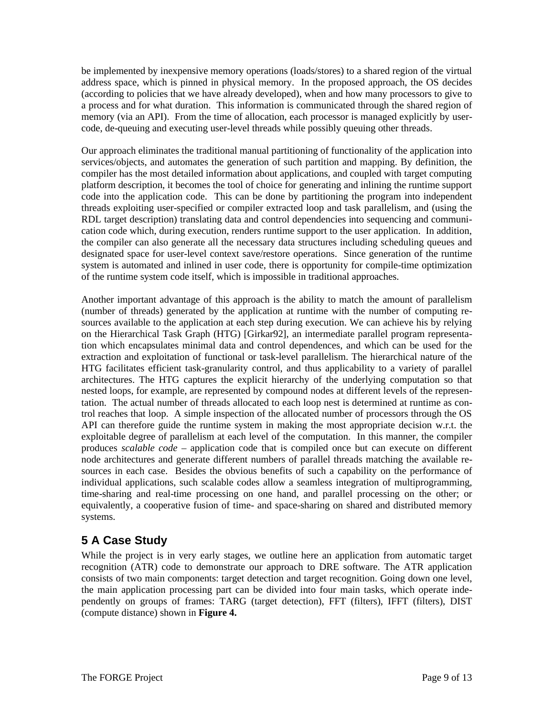be implemented by inexpensive memory operations (loads/stores) to a shared region of the virtual address space, which is pinned in physical memory. In the proposed approach, the OS decides (according to policies that we have already developed), when and how many processors to give to a process and for what duration. This information is communicated through the shared region of memory (via an API). From the time of allocation, each processor is managed explicitly by usercode, de-queuing and executing user-level threads while possibly queuing other threads.

Our approach eliminates the traditional manual partitioning of functionality of the application into services/objects, and automates the generation of such partition and mapping. By definition, the compiler has the most detailed information about applications, and coupled with target computing platform description, it becomes the tool of choice for generating and inlining the runtime support code into the application code. This can be done by partitioning the program into independent threads exploiting user-specified or compiler extracted loop and task parallelism, and (using the RDL target description) translating data and control dependencies into sequencing and communication code which, during execution, renders runtime support to the user application. In addition, the compiler can also generate all the necessary data structures including scheduling queues and designated space for user-level context save/restore operations. Since generation of the runtime system is automated and inlined in user code, there is opportunity for compile-time optimization of the runtime system code itself, which is impossible in traditional approaches.

Another important advantage of this approach is the ability to match the amount of parallelism (number of threads) generated by the application at runtime with the number of computing resources available to the application at each step during execution. We can achieve his by relying on the Hierarchical Task Graph (HTG) [Girkar92], an intermediate parallel program representation which encapsulates minimal data and control dependences, and which can be used for the extraction and exploitation of functional or task-level parallelism. The hierarchical nature of the HTG facilitates efficient task-granularity control, and thus applicability to a variety of parallel architectures. The HTG captures the explicit hierarchy of the underlying computation so that nested loops, for example, are represented by compound nodes at different levels of the representation. The actual number of threads allocated to each loop nest is determined at runtime as control reaches that loop. A simple inspection of the allocated number of processors through the OS API can therefore guide the runtime system in making the most appropriate decision w.r.t. the exploitable degree of parallelism at each level of the computation. In this manner, the compiler produces *scalable code* – application code that is compiled once but can execute on different node architectures and generate different numbers of parallel threads matching the available resources in each case. Besides the obvious benefits of such a capability on the performance of individual applications, such scalable codes allow a seamless integration of multiprogramming, time-sharing and real-time processing on one hand, and parallel processing on the other; or equivalently, a cooperative fusion of time- and space-sharing on shared and distributed memory systems.

## **5 A Case Study**

While the project is in very early stages, we outline here an application from automatic target recognition (ATR) code to demonstrate our approach to DRE software. The ATR application consists of two main components: target detection and target recognition. Going down one level, the main application processing part can be divided into four main tasks, which operate independently on groups of frames: TARG (target detection), FFT (filters), IFFT (filters), DIST (compute distance) shown in **Figure 4.**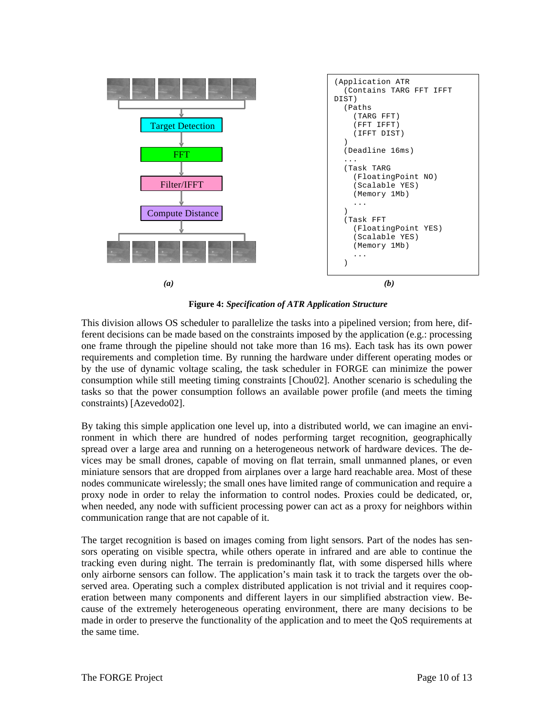

**Figure 4:** *Specification of ATR Application Structure*

This division allows OS scheduler to parallelize the tasks into a pipelined version; from here, different decisions can be made based on the constraints imposed by the application (e.g.: processing one frame through the pipeline should not take more than 16 ms). Each task has its own power requirements and completion time. By running the hardware under different operating modes or by the use of dynamic voltage scaling, the task scheduler in FORGE can minimize the power consumption while still meeting timing constraints [Chou02]. Another scenario is scheduling the tasks so that the power consumption follows an available power profile (and meets the timing constraints) [Azevedo02].

By taking this simple application one level up, into a distributed world, we can imagine an environment in which there are hundred of nodes performing target recognition, geographically spread over a large area and running on a heterogeneous network of hardware devices. The devices may be small drones, capable of moving on flat terrain, small unmanned planes, or even miniature sensors that are dropped from airplanes over a large hard reachable area. Most of these nodes communicate wirelessly; the small ones have limited range of communication and require a proxy node in order to relay the information to control nodes. Proxies could be dedicated, or, when needed, any node with sufficient processing power can act as a proxy for neighbors within communication range that are not capable of it.

The target recognition is based on images coming from light sensors. Part of the nodes has sensors operating on visible spectra, while others operate in infrared and are able to continue the tracking even during night. The terrain is predominantly flat, with some dispersed hills where only airborne sensors can follow. The application's main task it to track the targets over the observed area. Operating such a complex distributed application is not trivial and it requires cooperation between many components and different layers in our simplified abstraction view. Because of the extremely heterogeneous operating environment, there are many decisions to be made in order to preserve the functionality of the application and to meet the QoS requirements at the same time.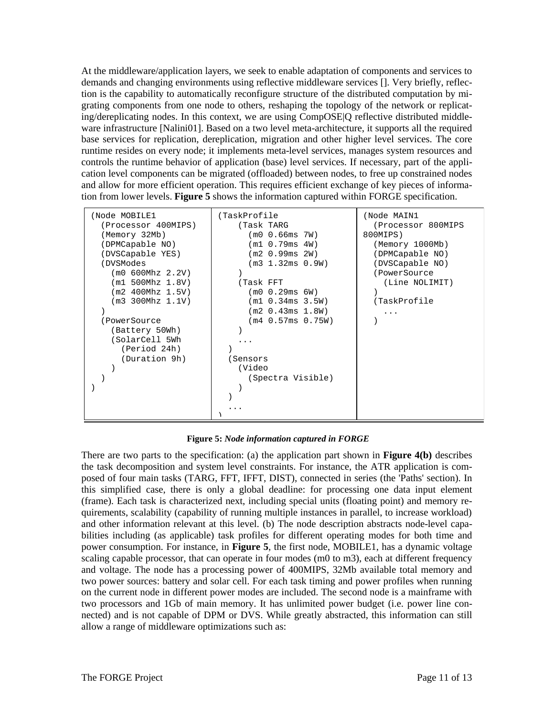At the middleware/application layers, we seek to enable adaptation of components and services to demands and changing environments using reflective middleware services []. Very briefly, reflection is the capability to automatically reconfigure structure of the distributed computation by migrating components from one node to others, reshaping the topology of the network or replicating/dereplicating nodes. In this context, we are using CompOSE|Q reflective distributed middleware infrastructure [Nalini01]. Based on a two level meta-architecture, it supports all the required base services for replication, dereplication, migration and other higher level services. The core runtime resides on every node; it implements meta-level services, manages system resources and controls the runtime behavior of application (base) level services. If necessary, part of the application level components can be migrated (offloaded) between nodes, to free up constrained nodes and allow for more efficient operation. This requires efficient exchange of key pieces of information from lower levels. **Figure 5** shows the information captured within FORGE specification.

#### **Figure 5:** *Node information captured in FORGE*

There are two parts to the specification: (a) the application part shown in **Figure 4(b)** describes the task decomposition and system level constraints. For instance, the ATR application is composed of four main tasks (TARG, FFT, IFFT, DIST), connected in series (the 'Paths' section). In this simplified case, there is only a global deadline: for processing one data input element (frame). Each task is characterized next, including special units (floating point) and memory requirements, scalability (capability of running multiple instances in parallel, to increase workload) and other information relevant at this level. (b) The node description abstracts node-level capabilities including (as applicable) task profiles for different operating modes for both time and power consumption. For instance, in **Figure 5**, the first node, MOBILE1, has a dynamic voltage scaling capable processor, that can operate in four modes (m0 to m3), each at different frequency and voltage. The node has a processing power of 400MIPS, 32Mb available total memory and two power sources: battery and solar cell. For each task timing and power profiles when running on the current node in different power modes are included. The second node is a mainframe with two processors and 1Gb of main memory. It has unlimited power budget (i.e. power line connected) and is not capable of DPM or DVS. While greatly abstracted, this information can still allow a range of middleware optimizations such as: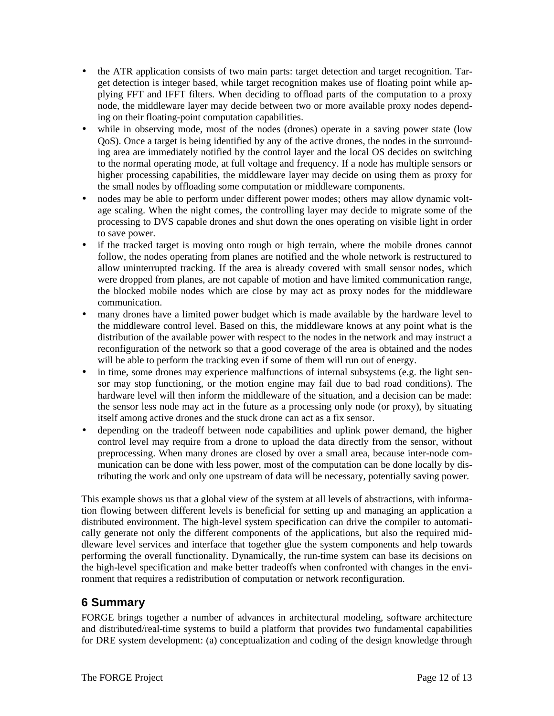- the ATR application consists of two main parts: target detection and target recognition. Target detection is integer based, while target recognition makes use of floating point while applying FFT and IFFT filters. When deciding to offload parts of the computation to a proxy node, the middleware layer may decide between two or more available proxy nodes depending on their floating-point computation capabilities.
- while in observing mode, most of the nodes (drones) operate in a saving power state (low QoS). Once a target is being identified by any of the active drones, the nodes in the surrounding area are immediately notified by the control layer and the local OS decides on switching to the normal operating mode, at full voltage and frequency. If a node has multiple sensors or higher processing capabilities, the middleware layer may decide on using them as proxy for the small nodes by offloading some computation or middleware components.
- nodes may be able to perform under different power modes; others may allow dynamic voltage scaling. When the night comes, the controlling layer may decide to migrate some of the processing to DVS capable drones and shut down the ones operating on visible light in order to save power.
- if the tracked target is moving onto rough or high terrain, where the mobile drones cannot follow, the nodes operating from planes are notified and the whole network is restructured to allow uninterrupted tracking. If the area is already covered with small sensor nodes, which were dropped from planes, are not capable of motion and have limited communication range, the blocked mobile nodes which are close by may act as proxy nodes for the middleware communication.
- many drones have a limited power budget which is made available by the hardware level to the middleware control level. Based on this, the middleware knows at any point what is the distribution of the available power with respect to the nodes in the network and may instruct a reconfiguration of the network so that a good coverage of the area is obtained and the nodes will be able to perform the tracking even if some of them will run out of energy.
- in time, some drones may experience malfunctions of internal subsystems (e.g. the light sensor may stop functioning, or the motion engine may fail due to bad road conditions). The hardware level will then inform the middleware of the situation, and a decision can be made: the sensor less node may act in the future as a processing only node (or proxy), by situating itself among active drones and the stuck drone can act as a fix sensor.
- depending on the tradeoff between node capabilities and uplink power demand, the higher control level may require from a drone to upload the data directly from the sensor, without preprocessing. When many drones are closed by over a small area, because inter-node communication can be done with less power, most of the computation can be done locally by distributing the work and only one upstream of data will be necessary, potentially saving power.

This example shows us that a global view of the system at all levels of abstractions, with information flowing between different levels is beneficial for setting up and managing an application a distributed environment. The high-level system specification can drive the compiler to automatically generate not only the different components of the applications, but also the required middleware level services and interface that together glue the system components and help towards performing the overall functionality. Dynamically, the run-time system can base its decisions on the high-level specification and make better tradeoffs when confronted with changes in the environment that requires a redistribution of computation or network reconfiguration.

## **6 Summary**

FORGE brings together a number of advances in architectural modeling, software architecture and distributed/real-time systems to build a platform that provides two fundamental capabilities for DRE system development: (a) conceptualization and coding of the design knowledge through